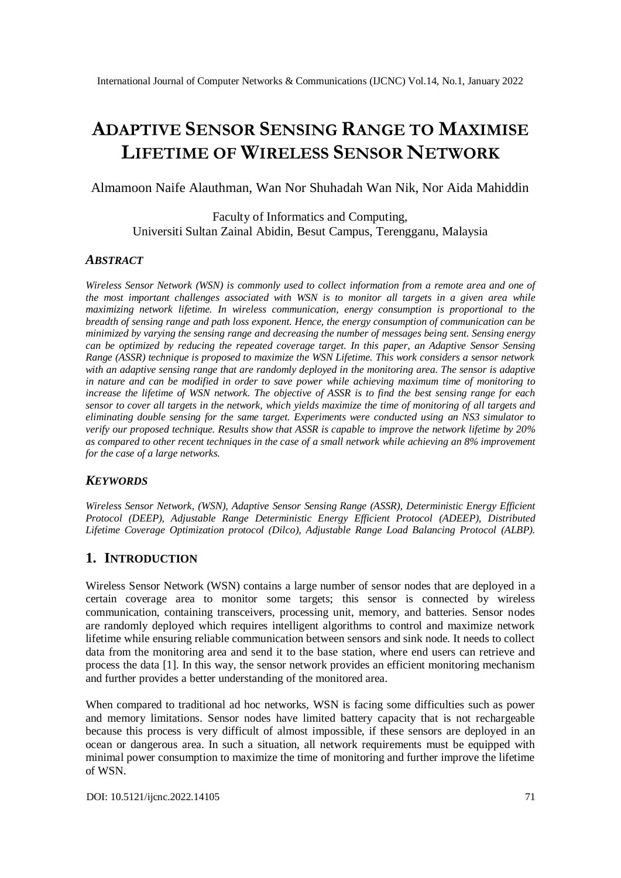# **ADAPTIVE SENSOR SENSING RANGE TO MAXIMISE LIFETIME OF WIRELESS SENSOR NETWORK**

Almamoon Naife Alauthman, Wan Nor Shuhadah Wan Nik, Nor Aida Mahiddin

Faculty of Informatics and Computing, Universiti Sultan Zainal Abidin, Besut Campus, Terengganu, Malaysia

#### *ABSTRACT*

*Wireless Sensor Network (WSN) is commonly used to collect information from a remote area and one of the most important challenges associated with WSN is to monitor all targets in a given area while maximizing network lifetime. In wireless communication, energy consumption is proportional to the breadth of sensing range and path loss exponent. Hence, the energy consumption of communication can be minimized by varying the sensing range and decreasing the number of messages being sent. Sensing energy can be optimized by reducing the repeated coverage target. In this paper, an Adaptive Sensor Sensing Range (ASSR) technique is proposed to maximize the WSN Lifetime. This work considers a sensor network with an adaptive sensing range that are randomly deployed in the monitoring area. The sensor is adaptive in nature and can be modified in order to save power while achieving maximum time of monitoring to increase the lifetime of WSN network. The objective of ASSR is to find the best sensing range for each sensor to cover all targets in the network, which yields maximize the time of monitoring of all targets and eliminating double sensing for the same target. Experiments were conducted using an NS3 simulator to verify our proposed technique. Results show that ASSR is capable to improve the network lifetime by 20% as compared to other recent techniques in the case of a small network while achieving an 8% improvement for the case of a large networks.*

#### *KEYWORDS*

*Wireless Sensor Network, (WSN), Adaptive Sensor Sensing Range (ASSR), Deterministic Energy Efficient Protocol (DEEP), Adjustable Range Deterministic Energy Efficient Protocol (ADEEP), Distributed Lifetime Coverage Optimization protocol (Dilco), Adjustable Range Load Balancing Protocol (ALBP).*

### **1. INTRODUCTION**

Wireless Sensor Network (WSN) contains a large number of sensor nodes that are deployed in a certain coverage area to monitor some targets; this sensor is connected by wireless communication, containing transceivers, processing unit, memory, and batteries. Sensor nodes are randomly deployed which requires intelligent algorithms to control and maximize network lifetime while ensuring reliable communication between sensors and sink node. It needs to collect data from the monitoring area and send it to the base station, where end users can retrieve and process the data [1]. In this way, the sensor network provides an efficient monitoring mechanism and further provides a better understanding of the monitored area.

When compared to traditional ad hoc networks, WSN is facing some difficulties such as power and memory limitations. Sensor nodes have limited battery capacity that is not rechargeable because this process is very difficult of almost impossible, if these sensors are deployed in an ocean or dangerous area. In such a situation, all network requirements must be equipped with minimal power consumption to maximize the time of monitoring and further improve the lifetime of WSN.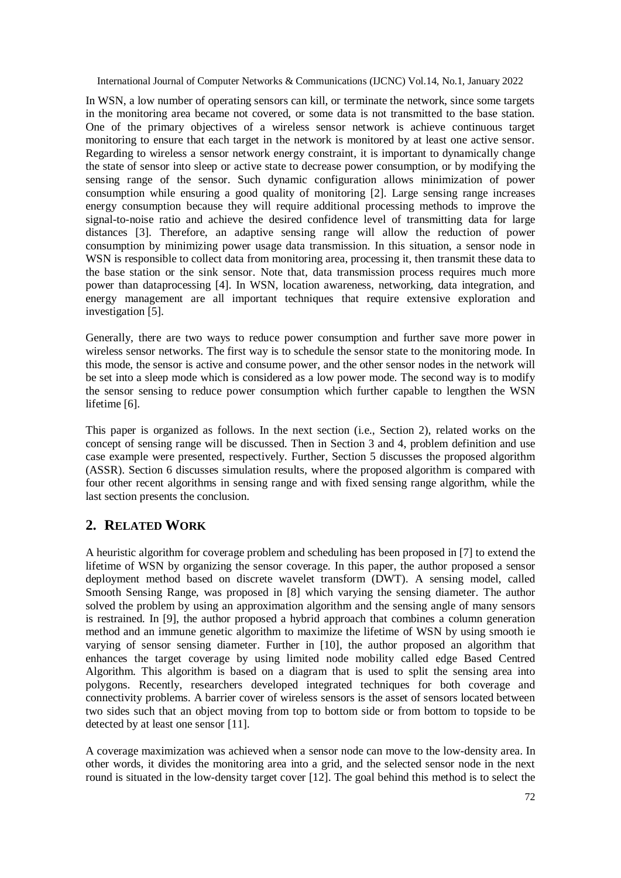In WSN, a low number of operating sensors can kill, or terminate the network, since some targets in the monitoring area became not covered, or some data is not transmitted to the base station. One of the primary objectives of a wireless sensor network is achieve continuous target monitoring to ensure that each target in the network is monitored by at least one active sensor. Regarding to wireless a sensor network energy constraint, it is important to dynamically change the state of sensor into sleep or active state to decrease power consumption, or by modifying the sensing range of the sensor. Such dynamic configuration allows minimization of power consumption while ensuring a good quality of monitoring [2]. Large sensing range increases energy consumption because they will require additional processing methods to improve the signal-to-noise ratio and achieve the desired confidence level of transmitting data for large distances [3]. Therefore, an adaptive sensing range will allow the reduction of power consumption by minimizing power usage data transmission. In this situation, a sensor node in WSN is responsible to collect data from monitoring area, processing it, then transmit these data to the base station or the sink sensor. Note that, data transmission process requires much more power than dataprocessing [4]. In WSN, location awareness, networking, data integration, and energy management are all important techniques that require extensive exploration and investigation [5].

Generally, there are two ways to reduce power consumption and further save more power in wireless sensor networks. The first way is to schedule the sensor state to the monitoring mode. In this mode, the sensor is active and consume power, and the other sensor nodes in the network will be set into a sleep mode which is considered as a low power mode. The second way is to modify the sensor sensing to reduce power consumption which further capable to lengthen the WSN lifetime [6].

This paper is organized as follows. In the next section (i.e., Section 2), related works on the concept of sensing range will be discussed. Then in Section 3 and 4, problem definition and use case example were presented, respectively. Further, Section 5 discusses the proposed algorithm (ASSR). Section 6 discusses simulation results, where the proposed algorithm is compared with four other recent algorithms in sensing range and with fixed sensing range algorithm, while the last section presents the conclusion.

# **2. RELATED WORK**

A heuristic algorithm for coverage problem and scheduling has been proposed in [7] to extend the lifetime of WSN by organizing the sensor coverage. In this paper, the author proposed a sensor deployment method based on discrete wavelet transform (DWT). A sensing model, called Smooth Sensing Range, was proposed in [8] which varying the sensing diameter. The author solved the problem by using an approximation algorithm and the sensing angle of many sensors is restrained. In [9], the author proposed a hybrid approach that combines a column generation method and an immune genetic algorithm to maximize the lifetime of WSN by using smooth ie varying of sensor sensing diameter. Further in [10], the author proposed an algorithm that enhances the target coverage by using limited node mobility called edge Based Centred Algorithm. This algorithm is based on a diagram that is used to split the sensing area into polygons. Recently, researchers developed integrated techniques for both coverage and connectivity problems. A barrier cover of wireless sensors is the asset of sensors located between two sides such that an object moving from top to bottom side or from bottom to topside to be detected by at least one sensor [11].

A coverage maximization was achieved when a sensor node can move to the low-density area. In other words, it divides the monitoring area into a grid, and the selected sensor node in the next round is situated in the low-density target cover [12]. The goal behind this method is to select the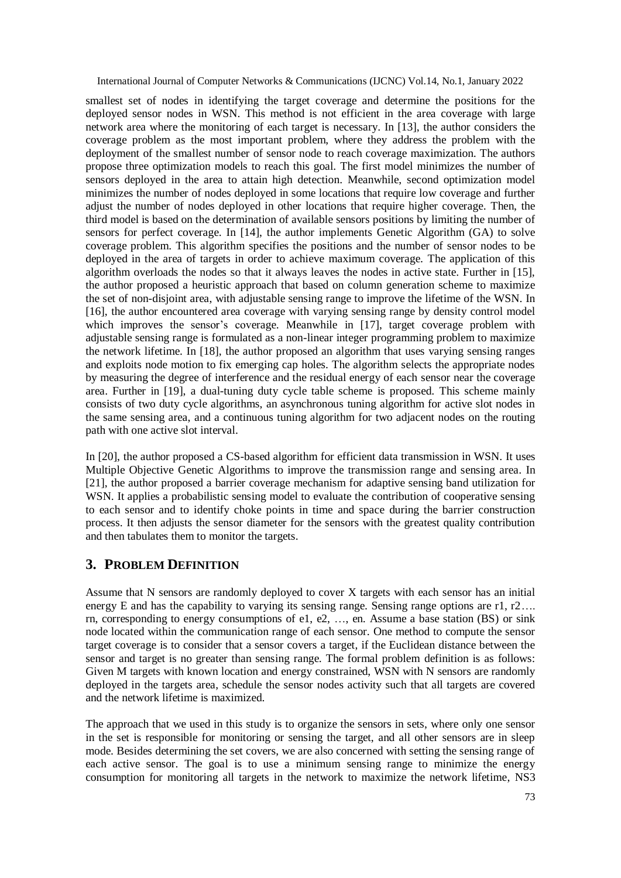smallest set of nodes in identifying the target coverage and determine the positions for the deployed sensor nodes in WSN. This method is not efficient in the area coverage with large network area where the monitoring of each target is necessary. In [13], the author considers the coverage problem as the most important problem, where they address the problem with the deployment of the smallest number of sensor node to reach coverage maximization. The authors propose three optimization models to reach this goal. The first model minimizes the number of sensors deployed in the area to attain high detection. Meanwhile, second optimization model minimizes the number of nodes deployed in some locations that require low coverage and further adjust the number of nodes deployed in other locations that require higher coverage. Then, the third model is based on the determination of available sensors positions by limiting the number of sensors for perfect coverage. In [14], the author implements Genetic Algorithm (GA) to solve coverage problem. This algorithm specifies the positions and the number of sensor nodes to be deployed in the area of targets in order to achieve maximum coverage. The application of this algorithm overloads the nodes so that it always leaves the nodes in active state. Further in [15], the author proposed a heuristic approach that based on column generation scheme to maximize the set of non-disjoint area, with adjustable sensing range to improve the lifetime of the WSN. In [16], the author encountered area coverage with varying sensing range by density control model which improves the sensor's coverage. Meanwhile in [17], target coverage problem with adjustable sensing range is formulated as a non-linear integer programming problem to maximize the network lifetime. In [18], the author proposed an algorithm that uses varying sensing ranges and exploits node motion to fix emerging cap holes. The algorithm selects the appropriate nodes by measuring the degree of interference and the residual energy of each sensor near the coverage area. Further in [19], a dual-tuning duty cycle table scheme is proposed. This scheme mainly consists of two duty cycle algorithms, an asynchronous tuning algorithm for active slot nodes in the same sensing area, and a continuous tuning algorithm for two adjacent nodes on the routing path with one active slot interval.

In [20], the author proposed a CS-based algorithm for efficient data transmission in WSN. It uses Multiple Objective Genetic Algorithms to improve the transmission range and sensing area. In [21], the author proposed a barrier coverage mechanism for adaptive sensing band utilization for WSN. It applies a probabilistic sensing model to evaluate the contribution of cooperative sensing to each sensor and to identify choke points in time and space during the barrier construction process. It then adjusts the sensor diameter for the sensors with the greatest quality contribution and then tabulates them to monitor the targets.

# **3. PROBLEM DEFINITION**

Assume that N sensors are randomly deployed to cover X targets with each sensor has an initial energy E and has the capability to varying its sensing range. Sensing range options are  $r1, r2...$ rn, corresponding to energy consumptions of e1, e2, …, en. Assume a base station (BS) or sink node located within the communication range of each sensor. One method to compute the sensor target coverage is to consider that a sensor covers a target, if the Euclidean distance between the sensor and target is no greater than sensing range. The formal problem definition is as follows: Given M targets with known location and energy constrained, WSN with N sensors are randomly deployed in the targets area, schedule the sensor nodes activity such that all targets are covered and the network lifetime is maximized.

The approach that we used in this study is to organize the sensors in sets, where only one sensor in the set is responsible for monitoring or sensing the target, and all other sensors are in sleep mode. Besides determining the set covers, we are also concerned with setting the sensing range of each active sensor. The goal is to use a minimum sensing range to minimize the energy consumption for monitoring all targets in the network to maximize the network lifetime, NS3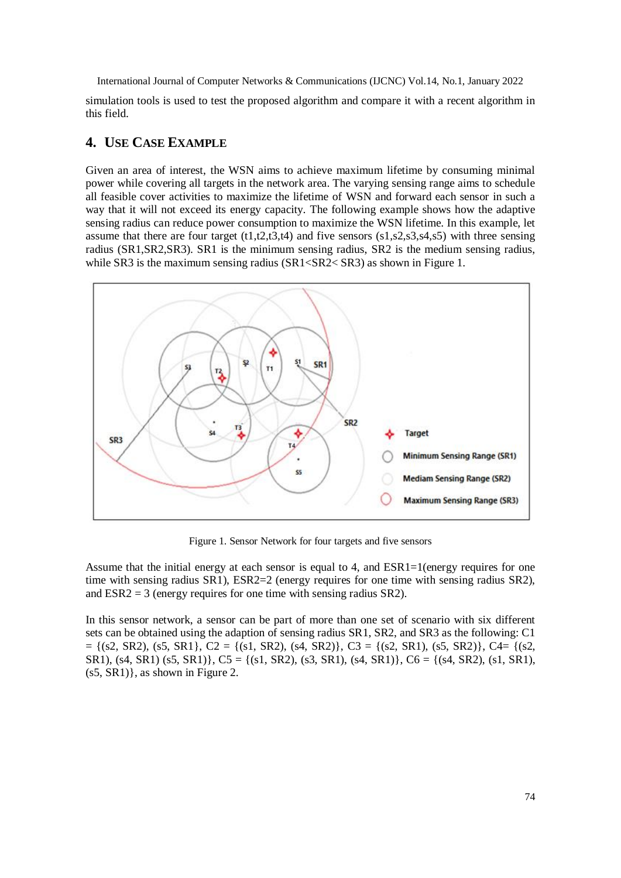simulation tools is used to test the proposed algorithm and compare it with a recent algorithm in this field.

## **4. USE CASE EXAMPLE**

Given an area of interest, the WSN aims to achieve maximum lifetime by consuming minimal power while covering all targets in the network area. The varying sensing range aims to schedule all feasible cover activities to maximize the lifetime of WSN and forward each sensor in such a way that it will not exceed its energy capacity. The following example shows how the adaptive sensing radius can reduce power consumption to maximize the WSN lifetime. In this example, let assume that there are four target  $(t1,t2,t3,t4)$  and five sensors  $(s1,s2,s3,s4,s5)$  with three sensing radius (SR1,SR2,SR3). SR1 is the minimum sensing radius, SR2 is the medium sensing radius, while SR3 is the maximum sensing radius (SR1<SR2< SR3) as shown in Figure 1.



Figure 1. Sensor Network for four targets and five sensors

Assume that the initial energy at each sensor is equal to 4, and  $ESR1=1$  (energy requires for one time with sensing radius SR1), ESR2=2 (energy requires for one time with sensing radius SR2), and  $ESR2 = 3$  (energy requires for one time with sensing radius  $SR2$ ).

In this sensor network, a sensor can be part of more than one set of scenario with six different sets can be obtained using the adaption of sensing radius SR1, SR2, and SR3 as the following: C1  $= \{(s2, SR2), (s5, SR1), C2 = \{(s1, SR2), (s4, SR2)\}, C3 = \{(s2, SR1), (s5, SR2)\}, C4 = \{(s2, SR2), (s4, SR2)\}$ SR1), (s4, SR1) (s5, SR1)},  $C5 = \{(s1, SR2), (s3, SR1), (s4, SR1)\}$ ,  $C6 = \{(s4, SR2), (s1, SR1),$ (s5, SR1)}, as shown in Figure 2.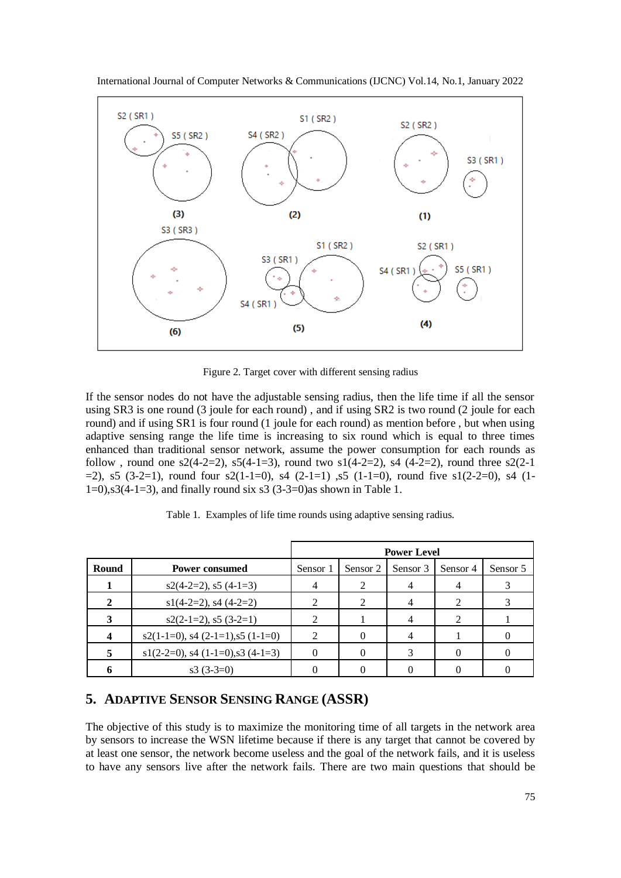

International Journal of Computer Networks & Communications (IJCNC) Vol.14, No.1, January 2022

Figure 2. Target cover with different sensing radius

If the sensor nodes do not have the adjustable sensing radius, then the life time if all the sensor using SR3 is one round (3 joule for each round) , and if using SR2 is two round (2 joule for each round) and if using SR1 is four round (1 joule for each round) as mention before , but when using adaptive sensing range the life time is increasing to six round which is equal to three times enhanced than traditional sensor network, assume the power consumption for each rounds as follow, round one  $s2(4-2=2)$ ,  $s5(4-1=3)$ , round two  $s1(4-2=2)$ ,  $s4(4-2=2)$ , round three  $s2(2-1)$  $=$  2), s5 (3-2=1), round four s2(1-1=0), s4 (2-1=1), s5 (1-1=0), round five s1(2-2=0), s4 (1- $1=0$ ,  $s3(4-1=3)$ , and finally round six  $s3(3-3=0)$  as shown in Table 1.

|       |                                           | <b>Power Level</b>          |               |          |               |          |
|-------|-------------------------------------------|-----------------------------|---------------|----------|---------------|----------|
| Round | <b>Power consumed</b>                     | Sensor 1                    | Sensor 2      | Sensor 3 | Sensor 4      | Sensor 5 |
|       | $s2(4-2=2)$ , $s5(4-1=3)$                 | 4                           |               |          |               |          |
|       | $s1(4-2=2)$ , s4 $(4-2=2)$                | 2                           | $\mathcal{L}$ |          |               |          |
|       | $s2(2-1=2), s5(3-2=1)$                    | 2                           |               |          | $\mathcal{D}$ |          |
|       | $s2(1-1=0)$ , $s4(2-1=1)$ , $s5(1-1=0)$   | $\mathcal{D}_{\mathcal{L}}$ |               |          |               |          |
|       | $s1(2-2=0)$ , s4 $(1-1=0)$ , s3 $(4-1=3)$ |                             |               |          |               |          |
|       | $s3(3-3=0)$                               |                             |               |          |               |          |

Table 1. Examples of life time rounds using adaptive sensing radius.

## **5. ADAPTIVE SENSOR SENSING RANGE (ASSR)**

The objective of this study is to maximize the monitoring time of all targets in the network area by sensors to increase the WSN lifetime because if there is any target that cannot be covered by at least one sensor, the network become useless and the goal of the network fails, and it is useless to have any sensors live after the network fails. There are two main questions that should be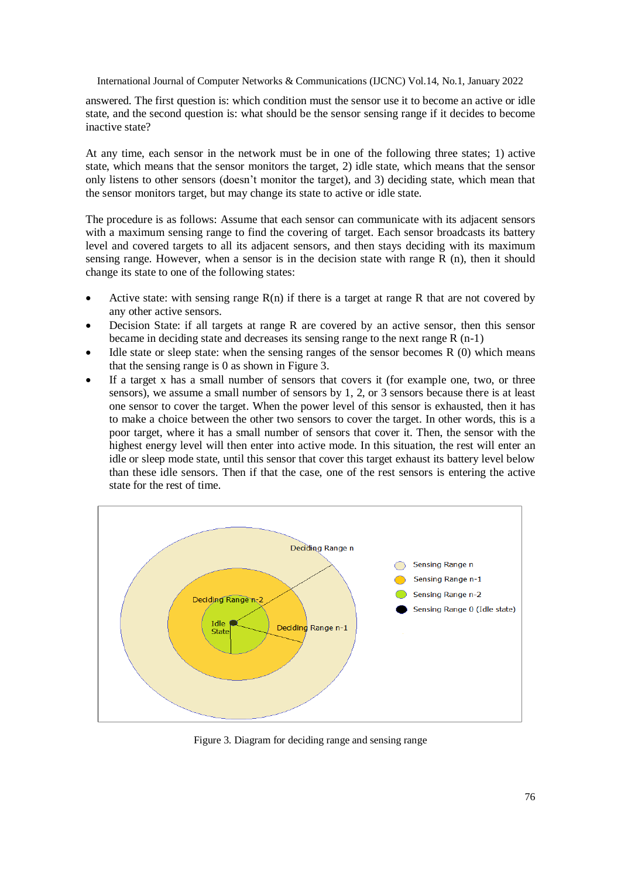answered. The first question is: which condition must the sensor use it to become an active or idle state, and the second question is: what should be the sensor sensing range if it decides to become inactive state?

At any time, each sensor in the network must be in one of the following three states; 1) active state, which means that the sensor monitors the target, 2) idle state, which means that the sensor only listens to other sensors (doesn't monitor the target), and 3) deciding state, which mean that the sensor monitors target, but may change its state to active or idle state.

The procedure is as follows: Assume that each sensor can communicate with its adjacent sensors with a maximum sensing range to find the covering of target. Each sensor broadcasts its battery level and covered targets to all its adjacent sensors, and then stays deciding with its maximum sensing range. However, when a sensor is in the decision state with range R (n), then it should change its state to one of the following states:

- Active state: with sensing range  $R(n)$  if there is a target at range R that are not covered by any other active sensors.
- Decision State: if all targets at range R are covered by an active sensor, then this sensor became in deciding state and decreases its sensing range to the next range R (n-1)
- Idle state or sleep state: when the sensing ranges of the sensor becomes  $R(0)$  which means that the sensing range is 0 as shown in Figure 3.
- If a target x has a small number of sensors that covers it (for example one, two, or three sensors), we assume a small number of sensors by 1, 2, or 3 sensors because there is at least one sensor to cover the target. When the power level of this sensor is exhausted, then it has to make a choice between the other two sensors to cover the target. In other words, this is a poor target, where it has a small number of sensors that cover it. Then, the sensor with the highest energy level will then enter into active mode. In this situation, the rest will enter an idle or sleep mode state, until this sensor that cover this target exhaust its battery level below than these idle sensors. Then if that the case, one of the rest sensors is entering the active state for the rest of time.



Figure 3. Diagram for deciding range and sensing range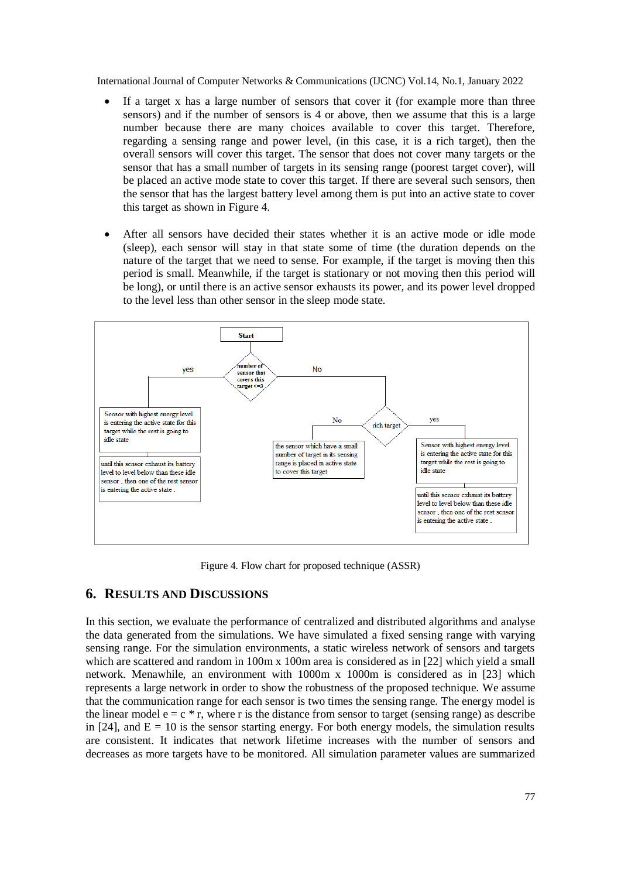- If a target x has a large number of sensors that cover it (for example more than three sensors) and if the number of sensors is 4 or above, then we assume that this is a large number because there are many choices available to cover this target. Therefore, regarding a sensing range and power level, (in this case, it is a rich target), then the overall sensors will cover this target. The sensor that does not cover many targets or the sensor that has a small number of targets in its sensing range (poorest target cover), will be placed an active mode state to cover this target. If there are several such sensors, then the sensor that has the largest battery level among them is put into an active state to cover this target as shown in Figure 4.
- After all sensors have decided their states whether it is an active mode or idle mode (sleep), each sensor will stay in that state some of time (the duration depends on the nature of the target that we need to sense. For example, if the target is moving then this period is small. Meanwhile, if the target is stationary or not moving then this period will be long), or until there is an active sensor exhausts its power, and its power level dropped to the level less than other sensor in the sleep mode state.



Figure 4. Flow chart for proposed technique (ASSR)

## **6. RESULTS AND DISCUSSIONS**

In this section, we evaluate the performance of centralized and distributed algorithms and analyse the data generated from the simulations. We have simulated a fixed sensing range with varying sensing range. For the simulation environments, a static wireless network of sensors and targets which are scattered and random in 100m x 100m area is considered as in [22] which yield a small network. Menawhile, an environment with 1000m x 1000m is considered as in [23] which represents a large network in order to show the robustness of the proposed technique. We assume that the communication range for each sensor is two times the sensing range. The energy model is the linear model  $e = c * r$ , where r is the distance from sensor to target (sensing range) as describe in [24], and  $E = 10$  is the sensor starting energy. For both energy models, the simulation results are consistent. It indicates that network lifetime increases with the number of sensors and decreases as more targets have to be monitored. All simulation parameter values are summarized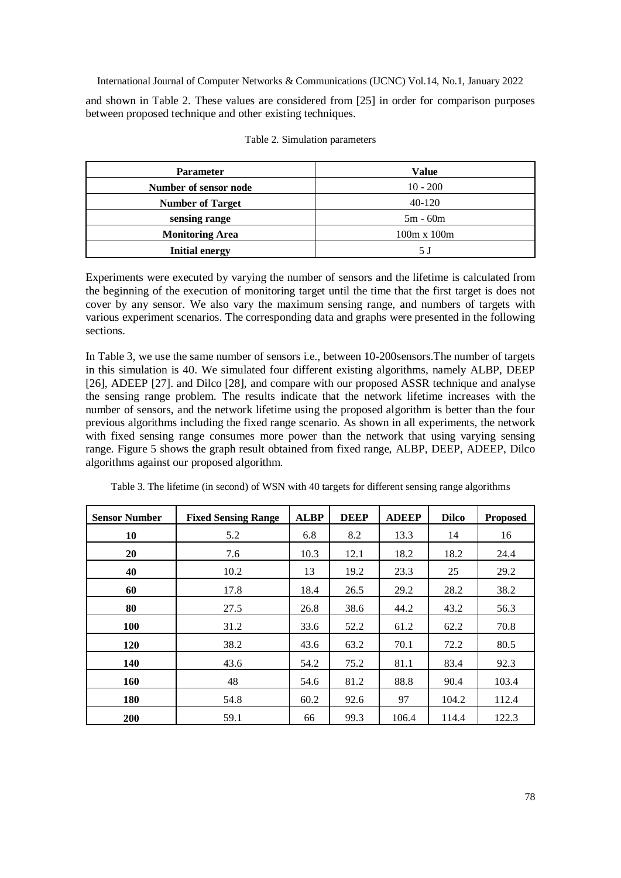and shown in Table 2. These values are considered from [25] in order for comparison purposes between proposed technique and other existing techniques.

| <b>Parameter</b>        | <b>Value</b>       |  |  |
|-------------------------|--------------------|--|--|
| Number of sensor node   | $10 - 200$         |  |  |
| <b>Number of Target</b> | $40-120$           |  |  |
| sensing range           | $5m - 60m$         |  |  |
| <b>Monitoring Area</b>  | $100m \times 100m$ |  |  |
| <b>Initial energy</b>   | 5 J                |  |  |

Table 2. Simulation parameters

Experiments were executed by varying the number of sensors and the lifetime is calculated from the beginning of the execution of monitoring target until the time that the first target is does not cover by any sensor. We also vary the maximum sensing range, and numbers of targets with various experiment scenarios. The corresponding data and graphs were presented in the following sections.

In Table 3, we use the same number of sensors i.e., between 10-200sensors.The number of targets in this simulation is 40. We simulated four different existing algorithms, namely ALBP, DEEP [26], ADEEP [27]. and Dilco [28], and compare with our proposed ASSR technique and analyse the sensing range problem. The results indicate that the network lifetime increases with the number of sensors, and the network lifetime using the proposed algorithm is better than the four previous algorithms including the fixed range scenario. As shown in all experiments, the network with fixed sensing range consumes more power than the network that using varying sensing range. Figure 5 shows the graph result obtained from fixed range, ALBP, DEEP, ADEEP, Dilco algorithms against our proposed algorithm.

| <b>Sensor Number</b> | <b>Fixed Sensing Range</b> | <b>ALBP</b> | <b>DEEP</b> | <b>ADEEP</b> | <b>Dilco</b> | <b>Proposed</b> |
|----------------------|----------------------------|-------------|-------------|--------------|--------------|-----------------|
| 10                   | 5.2                        | 6.8         | 8.2         | 13.3         | 14           | 16              |
| 20                   | 7.6                        | 10.3        | 12.1        | 18.2         | 18.2         | 24.4            |
| 40                   | 10.2                       | 13          | 19.2        | 23.3         | 25           | 29.2            |
| 60                   | 17.8                       | 18.4        | 26.5        | 29.2         | 28.2         | 38.2            |
| 80                   | 27.5                       | 26.8        | 38.6        | 44.2         | 43.2         | 56.3            |
| <b>100</b>           | 31.2                       | 33.6        | 52.2        | 61.2         | 62.2         | 70.8            |
| 120                  | 38.2                       | 43.6        | 63.2        | 70.1         | 72.2         | 80.5            |
| 140                  | 43.6                       | 54.2        | 75.2        | 81.1         | 83.4         | 92.3            |
| 160                  | 48                         | 54.6        | 81.2        | 88.8         | 90.4         | 103.4           |
| 180                  | 54.8                       | 60.2        | 92.6        | 97           | 104.2        | 112.4           |
| <b>200</b>           | 59.1                       | 66          | 99.3        | 106.4        | 114.4        | 122.3           |

Table 3. The lifetime (in second) of WSN with 40 targets for different sensing range algorithms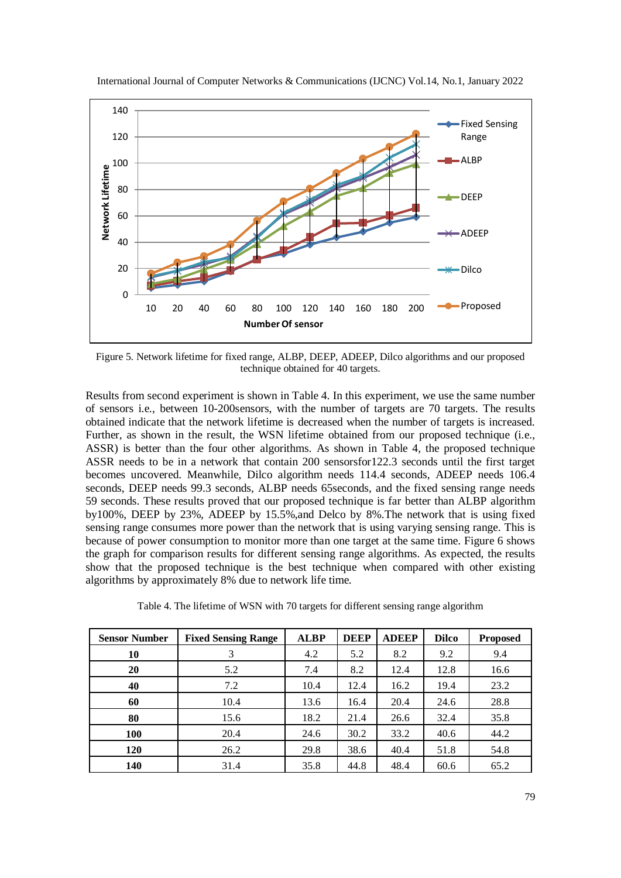

International Journal of Computer Networks & Communications (IJCNC) Vol.14, No.1, January 2022

Figure 5. Network lifetime for fixed range, ALBP, DEEP, ADEEP, Dilco algorithms and our proposed technique obtained for 40 targets.

Results from second experiment is shown in Table 4. In this experiment, we use the same number of sensors i.e., between 10-200sensors, with the number of targets are 70 targets. The results obtained indicate that the network lifetime is decreased when the number of targets is increased. Further, as shown in the result, the WSN lifetime obtained from our proposed technique (i.e., ASSR) is better than the four other algorithms. As shown in Table 4, the proposed technique ASSR needs to be in a network that contain 200 sensorsfor122.3 seconds until the first target becomes uncovered. Meanwhile, Dilco algorithm needs 114.4 seconds, ADEEP needs 106.4 seconds, DEEP needs 99.3 seconds, ALBP needs 65seconds, and the fixed sensing range needs 59 seconds. These results proved that our proposed technique is far better than ALBP algorithm by100%, DEEP by 23%, ADEEP by 15.5%,and Delco by 8%.The network that is using fixed sensing range consumes more power than the network that is using varying sensing range. This is because of power consumption to monitor more than one target at the same time. Figure 6 shows the graph for comparison results for different sensing range algorithms. As expected, the results show that the proposed technique is the best technique when compared with other existing algorithms by approximately 8% due to network life time.

| Table 4. The lifetime of WSN with 70 targets for different sensing range algorithm |  |  |  |
|------------------------------------------------------------------------------------|--|--|--|
|------------------------------------------------------------------------------------|--|--|--|

| <b>Sensor Number</b> | <b>Fixed Sensing Range</b> | <b>ALBP</b> | <b>DEEP</b> | <b>ADEEP</b> | <b>Dilco</b> | <b>Proposed</b> |
|----------------------|----------------------------|-------------|-------------|--------------|--------------|-----------------|
| 10                   |                            | 4.2         | 5.2         | 8.2          | 9.2          | 9.4             |
| 20                   | 5.2                        | 7.4         | 8.2         | 12.4         | 12.8         | 16.6            |
| 40                   | 7.2                        | 10.4        | 12.4        | 16.2         | 19.4         | 23.2            |
| 60                   | 10.4                       | 13.6        | 16.4        | 20.4         | 24.6         | 28.8            |
| 80                   | 15.6                       | 18.2        | 21.4        | 26.6         | 32.4         | 35.8            |
| <b>100</b>           | 20.4                       | 24.6        | 30.2        | 33.2         | 40.6         | 44.2            |
| 120                  | 26.2                       | 29.8        | 38.6        | 40.4         | 51.8         | 54.8            |
| 140                  | 31.4                       | 35.8        | 44.8        | 48.4         | 60.6         | 65.2            |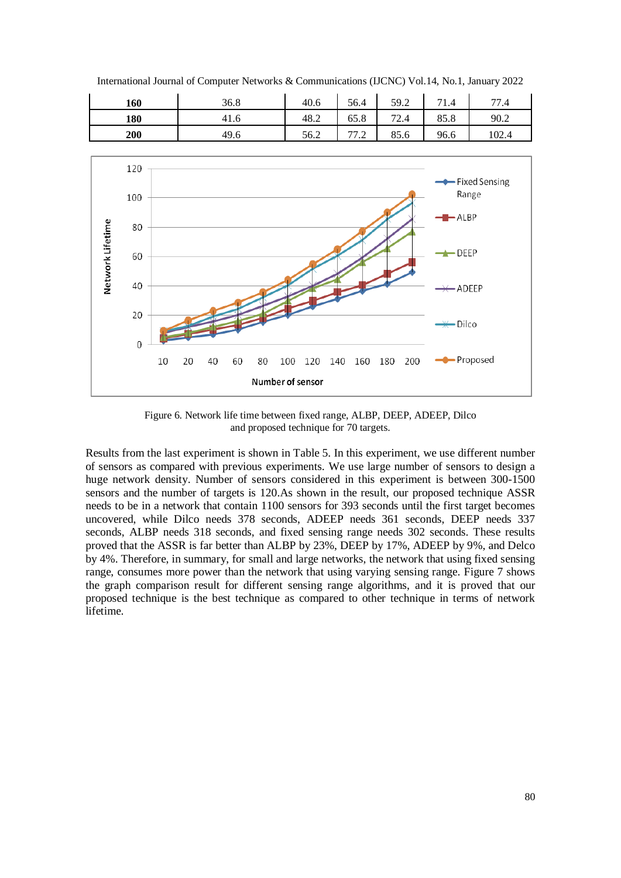International Journal of Computer Networks & Communications (IJCNC) Vol.14, No.1, January 2022

| 160 | 36.8 | 40.6 | 56.4                                  | 59.2 | 71<br>1.4 | 77.4  |
|-----|------|------|---------------------------------------|------|-----------|-------|
| 180 | 41.0 | 48.2 | 65.8                                  | 72.4 | 85.8      | 90.2  |
| 200 | 49.6 | 56.2 | <b>__</b><br>$\overline{\phantom{a}}$ | 85.6 | 96.6      | 102.4 |



Figure 6. Network life time between fixed range, ALBP, DEEP, ADEEP, Dilco and proposed technique for 70 targets.

Results from the last experiment is shown in Table 5. In this experiment, we use different number of sensors as compared with previous experiments. We use large number of sensors to design a huge network density. Number of sensors considered in this experiment is between 300-1500 sensors and the number of targets is 120.As shown in the result, our proposed technique ASSR needs to be in a network that contain 1100 sensors for 393 seconds until the first target becomes uncovered, while Dilco needs 378 seconds, ADEEP needs 361 seconds, DEEP needs 337 seconds, ALBP needs 318 seconds, and fixed sensing range needs 302 seconds. These results proved that the ASSR is far better than ALBP by 23%, DEEP by 17%, ADEEP by 9%, and Delco by 4%. Therefore, in summary, for small and large networks, the network that using fixed sensing range, consumes more power than the network that using varying sensing range. Figure 7 shows the graph comparison result for different sensing range algorithms, and it is proved that our proposed technique is the best technique as compared to other technique in terms of network lifetime.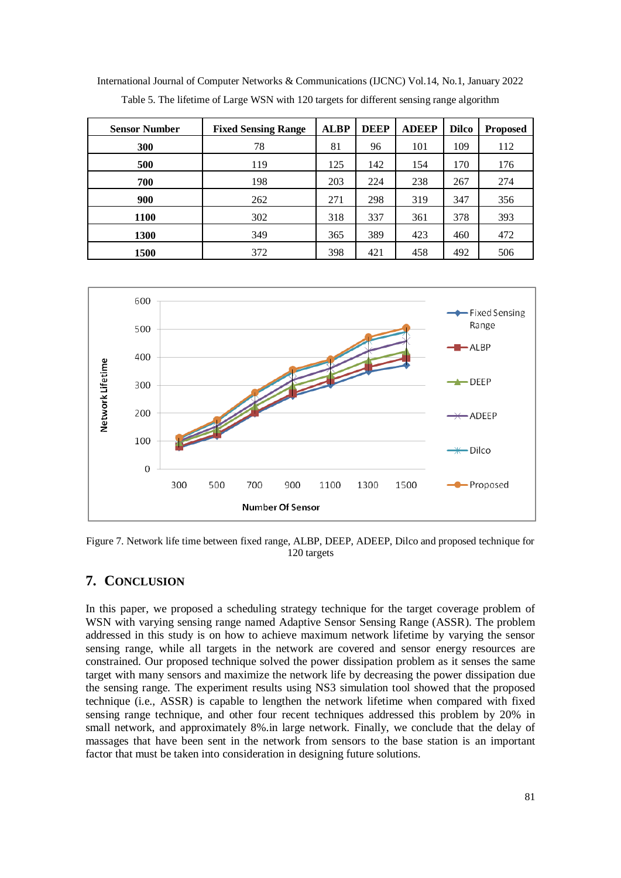**Sensor Number Fixed Sensing Range ALBP DEEP ADEEP Dilco Proposed 300** 78 81 96 101 109 112 **500** 119 125 142 154 170 176 **700 198 203 224 238 267 274 900** 262 271 298 319 347 356 **1100** 302 318 337 361 378 393 **1300** 349 365 389 423 460 472 **1500** 372 398 421 458 492 506

International Journal of Computer Networks & Communications (IJCNC) Vol.14, No.1, January 2022 Table 5. The lifetime of Large WSN with 120 targets for different sensing range algorithm



Figure 7. Network life time between fixed range, ALBP, DEEP, ADEEP, Dilco and proposed technique for 120 targets

# **7. CONCLUSION**

In this paper, we proposed a scheduling strategy technique for the target coverage problem of WSN with varying sensing range named Adaptive Sensor Sensing Range (ASSR). The problem addressed in this study is on how to achieve maximum network lifetime by varying the sensor sensing range, while all targets in the network are covered and sensor energy resources are constrained. Our proposed technique solved the power dissipation problem as it senses the same target with many sensors and maximize the network life by decreasing the power dissipation due the sensing range. The experiment results using NS3 simulation tool showed that the proposed technique (i.e., ASSR) is capable to lengthen the network lifetime when compared with fixed sensing range technique, and other four recent techniques addressed this problem by 20% in small network, and approximately 8%.in large network. Finally, we conclude that the delay of massages that have been sent in the network from sensors to the base station is an important factor that must be taken into consideration in designing future solutions.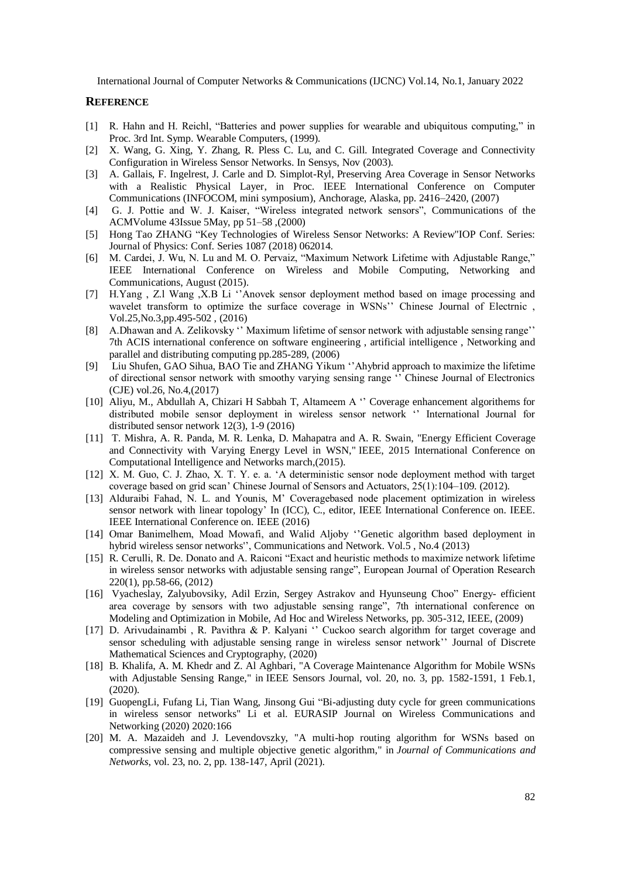#### **REFERENCE**

- [1] R. Hahn and H. Reichl, "Batteries and power supplies for wearable and ubiquitous computing," in Proc. 3rd Int. Symp. Wearable Computers, (1999).
- [2] X. Wang, G. Xing, Y. Zhang, R. Pless C. Lu, and C. Gill. Integrated Coverage and Connectivity Configuration in Wireless Sensor Networks. In Sensys, Nov (2003).
- [3] A. Gallais, F. Ingelrest, J. Carle and D. Simplot-Ryl, [Preserving Area Coverage in Sensor Networks](http://dx.doi.org/10.1109/INFCOM.2007.292)  [with a Realistic Physical Layer,](http://dx.doi.org/10.1109/INFCOM.2007.292) in Proc. IEEE International Conference on Computer Communications (INFOCOM, mini symposium), Anchorage, Alaska, pp. 2416–2420, (2007)
- [4] G. J. Pottie and W. J. Kaiser, "Wireless integrated network sensors", [Communications of the](https://dl.acm.org/toc/cacm/2000/43/5)  [ACMVolume 43Issue 5M](https://dl.acm.org/toc/cacm/2000/43/5)ay, pp 51–58 ,(2000)
- [5] Hong Tao ZHANG "Key Technologies of Wireless Sensor Networks: A Review"IOP Conf. Series: Journal of Physics: Conf. Series 1087 (2018) 062014.
- [6] M. Cardei, J. Wu, N. Lu and M. O. Pervaiz, "Maximum Network Lifetime with Adjustable Range," IEEE International Conference on Wireless and Mobile Computing, Networking and Communications, August (2015).
- [7] H.Yang , Z.l Wang ,X.B Li ''Anovek sensor deployment method based on image processing and wavelet transform to optimize the surface coverage in WSNs'' Chinese Journal of Electrnic , Vol.25,No.3,pp.495-502 , (2016)
- [8] A.Dhawan and A. Zelikovsky '' Maximum lifetime of sensor network with adjustable sensing range'' 7th ACIS international conference on software engineering , artificial intelligence , Networking and parallel and distributing computing pp.285-289, (2006)
- [9] Liu Shufen, GAO Sihua, BAO Tie and ZHANG Yikum ''Ahybrid approach to maximize the lifetime of directional sensor network with smoothy varying sensing range '' Chinese Journal of Electronics (CJE) vol.26, No.4,(2017)
- [10] Aliyu, M., Abdullah A, Chizari H Sabbah T, Altameem A '' Coverage enhancement algorithems for distributed mobile sensor deployment in wireless sensor network '' International Journal for distributed sensor network 12(3), 1-9 (2016)
- [11] T. Mishra, A. R. Panda, M. R. Lenka, D. Mahapatra and A. R. Swain, "Energy Efficient Coverage and Connectivity with Varying Energy Level in WSN," IEEE, 2015 International Conference on Computational Intelligence and Networks march,(2015).
- [12] X. M. Guo, C. J. Zhao, X. T. Y. e. a. 'A deterministic sensor node deployment method with target coverage based on grid scan' Chinese Journal of Sensors and Actuators, 25(1):104–109. (2012).
- [13] Alduraibi Fahad, N. L. and Younis, M' Coveragebased node placement optimization in wireless sensor network with linear topology' In (ICC), C., editor, IEEE International Conference on. IEEE. IEEE International Conference on. IEEE (2016)
- [14] Omar Banimelhem, Moad Mowafi, and Walid Aljoby ''Genetic algorithm based deployment in hybrid wireless sensor networks'', Communications and Network. Vol.5 , No.4 (2013)
- [15] R. Cerulli, R. De. Donato and A. Raiconi "Exact and heuristic methods to maximize network lifetime in wireless sensor networks with adjustable sensing range", European Journal of Operation Research 220(1), pp.58-66, (2012)
- [16] Vyacheslay, Zalyubovsiky, Adil Erzin, Sergey Astrakov and Hyunseung Choo" Energy- efficient area coverage by sensors with two adjustable sensing range", 7th international conference on Modeling and Optimization in Mobile, Ad Hoc and Wireless Networks, pp. 305-312, IEEE, (2009)
- [17] D. Arivudainambi, R. Pavithra & P. Kalyani " Cuckoo search algorithm for target coverage and sensor scheduling with adjustable sensing range in wireless sensor network'' Journal of Discrete Mathematical Sciences and Cryptography, (2020)
- [18] B. Khalifa, A. M. Khedr and Z. Al Aghbari, "A Coverage Maintenance Algorithm for Mobile WSNs with Adjustable Sensing Range," in IEEE Sensors Journal, vol. 20, no. 3, pp. 1582-1591, 1 Feb.1, (2020).
- [19] GuopengLi, Fufang Li, Tian Wang, Jinsong Gui "Bi-adjusting duty cycle for green communications in wireless sensor networks" Li et al. EURASIP Journal on Wireless Communications and Networking (2020) 2020:166
- [20] M. A. Mazaideh and J. Levendovszky, "A multi-hop routing algorithm for WSNs based on compressive sensing and multiple objective genetic algorithm," in *Journal of Communications and Networks*, vol. 23, no. 2, pp. 138-147, April (2021).